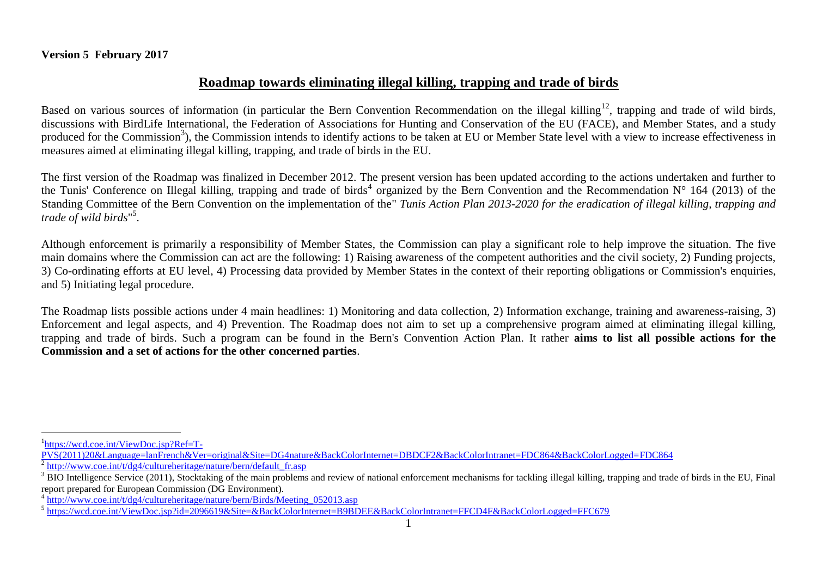# **Roadmap towards eliminating illegal killing, trapping and trade of birds**

Based on various sources of information (in particular the Bern Convention Recommendation on the illegal killing<sup>12</sup>, trapping and trade of wild birds, discussions with BirdLife International, the Federation of Associations for Hunting and Conservation of the EU (FACE), and Member States, and a study produced for the Commission<sup>3</sup>), the Commission intends to identify actions to be taken at EU or Member State level with a view to increase effectiveness in measures aimed at eliminating illegal killing, trapping, and trade of birds in the EU.

The first version of the Roadmap was finalized in December 2012. The present version has been updated according to the actions undertaken and further to the Tunis' Conference on Illegal killing, trapping and trade of birds<sup>4</sup> organized by the Bern Convention and the Recommendation N° 164 (2013) of the Standing Committee of the Bern Convention on the implementation of the" *Tunis Action Plan 2013-2020 for the eradication of illegal killing, trapping and trade of wild birds*" 5 .

Although enforcement is primarily a responsibility of Member States, the Commission can play a significant role to help improve the situation. The five main domains where the Commission can act are the following: 1) Raising awareness of the competent authorities and the civil society, 2) Funding projects, 3) Co-ordinating efforts at EU level, 4) Processing data provided by Member States in the context of their reporting obligations or Commission's enquiries, and 5) Initiating legal procedure.

The Roadmap lists possible actions under 4 main headlines: 1) Monitoring and data collection, 2) Information exchange, training and awareness-raising, 3) Enforcement and legal aspects, and 4) Prevention. The Roadmap does not aim to set up a comprehensive program aimed at eliminating illegal killing, trapping and trade of birds. Such a program can be found in the Bern's Convention Action Plan. It rather **aims to list all possible actions for the Commission and a set of actions for the other concerned parties**.

<sup>&</sup>lt;sup>1</sup>[https://wcd.coe.int/ViewDoc.jsp?Ref=T-](https://wcd.coe.int/ViewDoc.jsp?Ref=T-PVS(2011)20&Language=lanFrench&Ver=original&Site=DG4nature&BackColorInternet=DBDCF2&BackColorIntranet=FDC864&BackColorLogged=FDC864)

[PVS\(2011\)20&Language=lanFrench&Ver=original&Site=DG4nature&BackColorInternet=DBDCF2&BackColorIntranet=FDC864&BackColorLogged=FDC864](https://wcd.coe.int/ViewDoc.jsp?Ref=T-PVS(2011)20&Language=lanFrench&Ver=original&Site=DG4nature&BackColorInternet=DBDCF2&BackColorIntranet=FDC864&BackColorLogged=FDC864) <sup>2</sup> [http://www.coe.int/t/dg4/cultureheritage/nature/bern/default\\_fr.asp](http://www.coe.int/t/dg4/cultureheritage/nature/bern/default_fr.asp)

<sup>&</sup>lt;sup>3</sup> BIO Intelligence Service (2011), Stocktaking of the main problems and review of national enforcement mechanisms for tackling illegal killing, trapping and trade of birds in the EU, Final report prepared for European Commission (DG Environment).

<sup>&</sup>lt;sup>4</sup> [http://www.coe.int/t/dg4/cultureheritage/nature/bern/Birds/Meeting\\_052013.asp](http://www.coe.int/t/dg4/cultureheritage/nature/bern/Birds/Meeting_052013.asp)

<sup>&</sup>lt;sup>5</sup><https://wcd.coe.int/ViewDoc.jsp?id=2096619&Site=&BackColorInternet=B9BDEE&BackColorIntranet=FFCD4F&BackColorLogged=FFC679>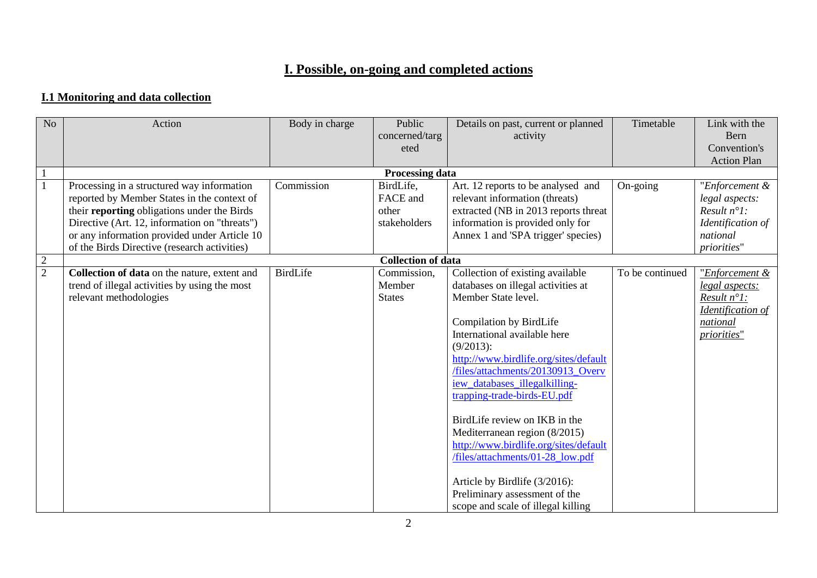# **I. Possible, on-going and completed actions**

# **I.1 Monitoring and data collection**

| N <sub>o</sub> | Action                                                                                                                                                                                                                                                                                    | Body in charge  | Public<br>concerned/targ<br>eted               | Details on past, current or planned<br>activity                                                                                                                                                                                                                                                                                                                                                                                                                                                                                                                               | Timetable       | Link with the<br>Bern<br>Convention's<br><b>Action Plan</b>                                               |
|----------------|-------------------------------------------------------------------------------------------------------------------------------------------------------------------------------------------------------------------------------------------------------------------------------------------|-----------------|------------------------------------------------|-------------------------------------------------------------------------------------------------------------------------------------------------------------------------------------------------------------------------------------------------------------------------------------------------------------------------------------------------------------------------------------------------------------------------------------------------------------------------------------------------------------------------------------------------------------------------------|-----------------|-----------------------------------------------------------------------------------------------------------|
| $\mathbf{1}$   |                                                                                                                                                                                                                                                                                           |                 | <b>Processing data</b>                         |                                                                                                                                                                                                                                                                                                                                                                                                                                                                                                                                                                               |                 |                                                                                                           |
| $\mathbf{1}$   | Processing in a structured way information<br>reported by Member States in the context of<br>their reporting obligations under the Birds<br>Directive (Art. 12, information on "threats")<br>or any information provided under Article 10<br>of the Birds Directive (research activities) | Commission      | BirdLife,<br>FACE and<br>other<br>stakeholders | Art. 12 reports to be analysed and<br>relevant information (threats)<br>extracted (NB in 2013 reports threat<br>information is provided only for<br>Annex 1 and 'SPA trigger' species)                                                                                                                                                                                                                                                                                                                                                                                        | On-going        | "Enforcement &<br>legal aspects:<br>Result $n^{\circ}$ 1:<br>Identification of<br>national<br>priorities" |
| $\sqrt{2}$     |                                                                                                                                                                                                                                                                                           |                 | <b>Collection of data</b>                      |                                                                                                                                                                                                                                                                                                                                                                                                                                                                                                                                                                               |                 |                                                                                                           |
| $\overline{2}$ | Collection of data on the nature, extent and<br>trend of illegal activities by using the most<br>relevant methodologies                                                                                                                                                                   | <b>BirdLife</b> | Commission,<br>Member<br><b>States</b>         | Collection of existing available<br>databases on illegal activities at<br>Member State level.<br>Compilation by BirdLife<br>International available here<br>$(9/2013)$ :<br>http://www.birdlife.org/sites/default<br>/files/attachments/20130913_Overv<br>iew databases illegalkilling-<br>trapping-trade-birds-EU.pdf<br>BirdLife review on IKB in the<br>Mediterranean region (8/2015)<br>http://www.birdlife.org/sites/default<br>/files/attachments/01-28_low.pdf<br>Article by Birdlife (3/2016):<br>Preliminary assessment of the<br>scope and scale of illegal killing | To be continued | "Enforcement &<br>legal aspects:<br>Result $n^{\circ}$ 1:<br>Identification of<br>national<br>priorities" |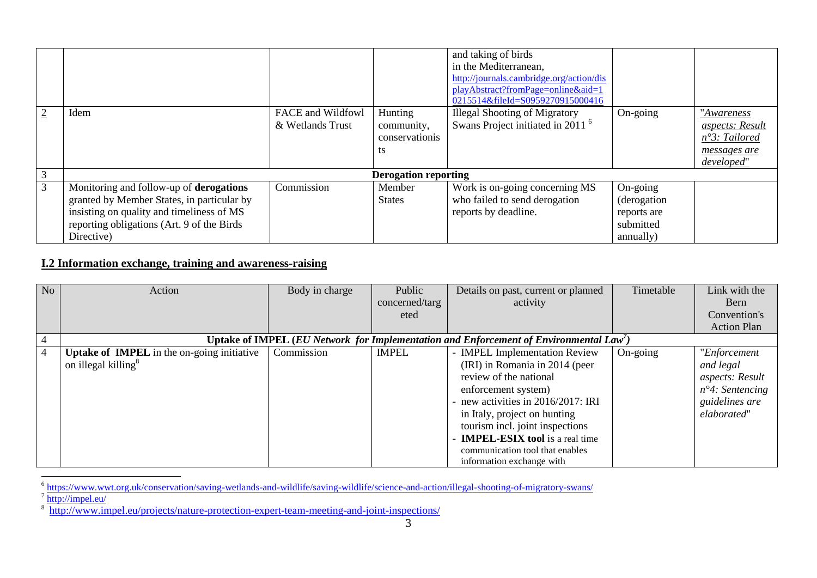|                |                                             |                   |                             | and taking of birds<br>in the Mediterranean,<br>http://journals.cambridge.org/action/dis<br>playAbstract?fromPage=online&aid=1 |             |                         |
|----------------|---------------------------------------------|-------------------|-----------------------------|--------------------------------------------------------------------------------------------------------------------------------|-------------|-------------------------|
|                |                                             |                   |                             | 0215514&fileId=S0959270915000416                                                                                               |             |                         |
| $\overline{2}$ | Idem                                        | FACE and Wildfowl | Hunting                     | <b>Illegal Shooting of Migratory</b>                                                                                           | On-going    | "Awareness              |
|                |                                             | & Wetlands Trust  | community,                  | Swans Project initiated in 2011 <sup>6</sup>                                                                                   |             | <i>aspects: Result</i>  |
|                |                                             |                   | conservation                |                                                                                                                                |             | $n^{\circ}3$ : Tailored |
|                |                                             |                   | ts                          |                                                                                                                                |             | messages are            |
|                |                                             |                   |                             |                                                                                                                                |             | developed"              |
| 3              |                                             |                   | <b>Derogation reporting</b> |                                                                                                                                |             |                         |
| $\overline{3}$ | Monitoring and follow-up of derogations     | Commission        | Member                      | Work is on-going concerning MS                                                                                                 | On-going    |                         |
|                | granted by Member States, in particular by  |                   | <b>States</b>               | who failed to send derogation                                                                                                  | (derogation |                         |
|                | insisting on quality and timeliness of MS   |                   |                             | reports by deadline.                                                                                                           | reports are |                         |
|                | reporting obligations (Art. 9 of the Birds) |                   |                             |                                                                                                                                | submitted   |                         |
|                | Directive)                                  |                   |                             |                                                                                                                                | annually)   |                         |

# **I.2 Information exchange, training and awareness-raising**

| N <sub>o</sub> | Action                                            | Body in charge | Public         | Details on past, current or planned                                                   | Timetable | Link with the             |
|----------------|---------------------------------------------------|----------------|----------------|---------------------------------------------------------------------------------------|-----------|---------------------------|
|                |                                                   |                | concerned/targ | activity                                                                              |           | Bern                      |
|                |                                                   |                | eted           |                                                                                       |           | Convention's              |
|                |                                                   |                |                |                                                                                       |           | <b>Action Plan</b>        |
|                |                                                   |                |                | Uptake of IMPEL (EU Network for Implementation and Enforcement of Environmental Law') |           |                           |
|                | <b>Uptake of IMPEL</b> in the on-going initiative | Commission     | <b>IMPEL</b>   | - IMPEL Implementation Review                                                         | On-going  | "Enforcement              |
|                | on illegal killing <sup>8</sup>                   |                |                | (IRI) in Romania in 2014 (peer                                                        |           | and legal                 |
|                |                                                   |                |                | review of the national                                                                |           | aspects: Result           |
|                |                                                   |                |                | enforcement system)                                                                   |           | $n^{\circ}4$ : Sentencing |
|                |                                                   |                |                | new activities in 2016/2017: IRI                                                      |           | guidelines are            |
|                |                                                   |                |                | in Italy, project on hunting                                                          |           | elaborated"               |
|                |                                                   |                |                | tourism incl. joint inspections                                                       |           |                           |
|                |                                                   |                |                | - <b>IMPEL-ESIX</b> tool is a real time                                               |           |                           |
|                |                                                   |                |                | communication tool that enables                                                       |           |                           |
|                |                                                   |                |                | information exchange with                                                             |           |                           |

<sup>6</sup><br><https://www.wwt.org.uk/conservation/saving-wetlands-and-wildlife/saving-wildlife/science-and-action/illegal-shooting-of-migratory-swans/><br><sup>7</sup> <http://impel.eu/><br><sup>8</sup> http://www.impel.eu/projects/nature-protection-expert-te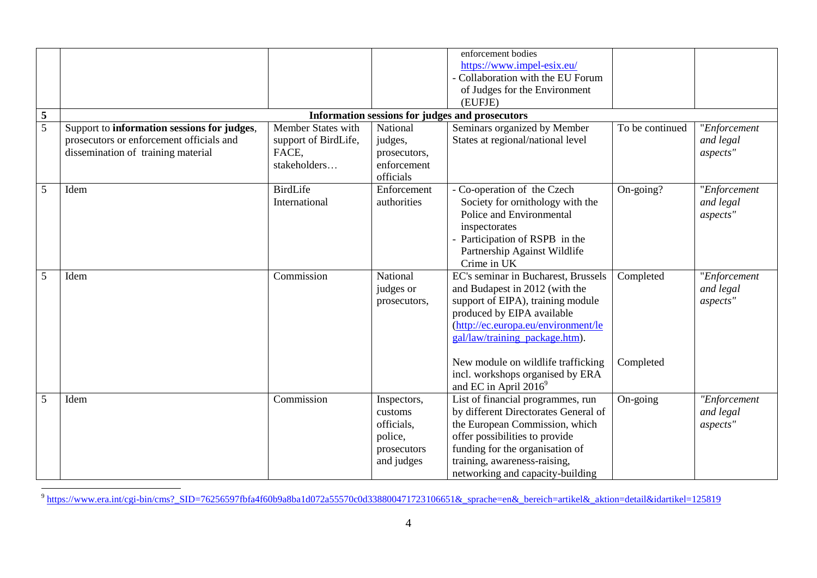|                |                                             |                      |              | enforcement bodies<br>https://www.impel-esix.eu/ |                 |              |
|----------------|---------------------------------------------|----------------------|--------------|--------------------------------------------------|-----------------|--------------|
|                |                                             |                      |              | Collaboration with the EU Forum                  |                 |              |
|                |                                             |                      |              | of Judges for the Environment                    |                 |              |
|                |                                             |                      |              | (EUFJE)                                          |                 |              |
|                |                                             |                      |              |                                                  |                 |              |
| $\sqrt{5}$     |                                             |                      |              | Information sessions for judges and prosecutors  |                 |              |
| $\overline{5}$ | Support to information sessions for judges, | Member States with   | National     | Seminars organized by Member                     | To be continued | "Enforcement |
|                | prosecutors or enforcement officials and    | support of BirdLife, | judges,      | States at regional/national level                |                 | and legal    |
|                | dissemination of training material          | FACE,                | prosecutors, |                                                  |                 | aspects"     |
|                |                                             | stakeholders         | enforcement  |                                                  |                 |              |
|                |                                             |                      | officials    |                                                  |                 |              |
| 5              | Idem                                        | <b>BirdLife</b>      | Enforcement  | - Co-operation of the Czech                      | On-going?       | "Enforcement |
|                |                                             | International        | authorities  | Society for ornithology with the                 |                 | and legal    |
|                |                                             |                      |              | Police and Environmental                         |                 | aspects"     |
|                |                                             |                      |              | inspectorates                                    |                 |              |
|                |                                             |                      |              | Participation of RSPB in the                     |                 |              |
|                |                                             |                      |              | Partnership Against Wildlife                     |                 |              |
|                |                                             |                      |              | Crime in UK                                      |                 |              |
| 5              | Idem                                        | Commission           | National     | EC's seminar in Bucharest, Brussels              | Completed       | "Enforcement |
|                |                                             |                      | judges or    | and Budapest in 2012 (with the                   |                 | and legal    |
|                |                                             |                      | prosecutors, | support of EIPA), training module                |                 | aspects"     |
|                |                                             |                      |              | produced by EIPA available                       |                 |              |
|                |                                             |                      |              | (http://ec.europa.eu/environment/le              |                 |              |
|                |                                             |                      |              | gal/law/training_package.htm).                   |                 |              |
|                |                                             |                      |              |                                                  |                 |              |
|                |                                             |                      |              | New module on wildlife trafficking               | Completed       |              |
|                |                                             |                      |              | incl. workshops organised by ERA                 |                 |              |
|                |                                             |                      |              | and EC in April 2016 <sup>9</sup>                |                 |              |
| 5              | Idem                                        | Commission           | Inspectors,  | List of financial programmes, run                | On-going        | "Enforcement |
|                |                                             |                      | customs      | by different Directorates General of             |                 | and legal    |
|                |                                             |                      | officials,   | the European Commission, which                   |                 | aspects"     |
|                |                                             |                      | police,      | offer possibilities to provide                   |                 |              |
|                |                                             |                      | prosecutors  | funding for the organisation of                  |                 |              |
|                |                                             |                      | and judges   | training, awareness-raising,                     |                 |              |
|                |                                             |                      |              | networking and capacity-building                 |                 |              |

<sup>9</sup><br>[https://www.era.int/cgi-bin/cms?\\_SID=76256597fbfa4f60b9a8ba1d072a55570c0d338800471723106651&\\_sprache=en&\\_bereich=artikel&\\_aktion=detail&idartikel=125819](https://www.era.int/cgi-bin/cms?_SID=76256597fbfa4f60b9a8ba1d072a55570c0d338800471723106651&_sprache=en&_bereich=artikel&_aktion=detail&idartikel=125819)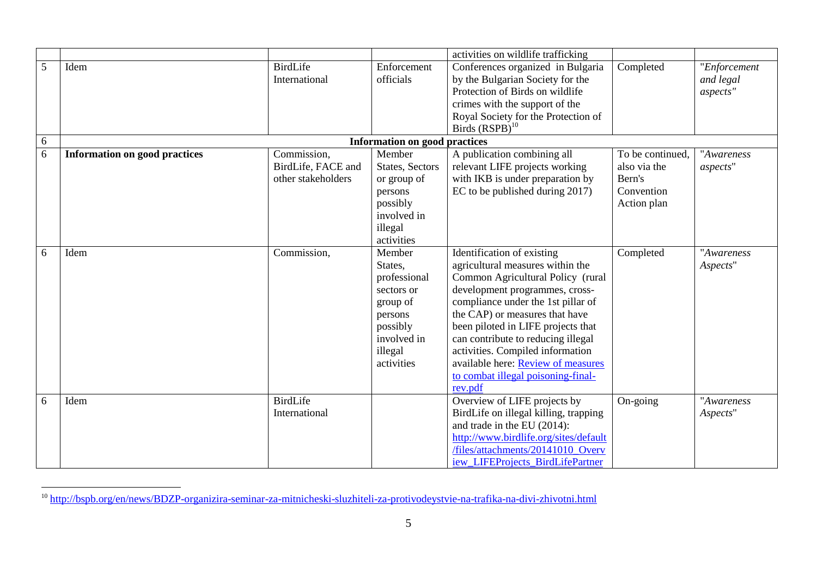|   |                                      |                    |                                      | activities on wildlife trafficking    |                  |              |
|---|--------------------------------------|--------------------|--------------------------------------|---------------------------------------|------------------|--------------|
| 5 | Idem                                 | <b>BirdLife</b>    | Enforcement                          | Conferences organized in Bulgaria     | Completed        | "Enforcement |
|   |                                      | International      | officials                            | by the Bulgarian Society for the      |                  | and legal    |
|   |                                      |                    |                                      | Protection of Birds on wildlife       |                  | aspects"     |
|   |                                      |                    |                                      | crimes with the support of the        |                  |              |
|   |                                      |                    |                                      | Royal Society for the Protection of   |                  |              |
|   |                                      |                    |                                      | Birds $(RSPB)^{10}$                   |                  |              |
| 6 |                                      |                    | <b>Information on good practices</b> |                                       |                  |              |
| 6 | <b>Information on good practices</b> | Commission,        | Member                               | A publication combining all           | To be continued, | "Awareness   |
|   |                                      | BirdLife, FACE and | States, Sectors                      | relevant LIFE projects working        | also via the     | aspects"     |
|   |                                      | other stakeholders | or group of                          | with IKB is under preparation by      | Bern's           |              |
|   |                                      |                    | persons                              | EC to be published during 2017)       | Convention       |              |
|   |                                      |                    | possibly                             |                                       | Action plan      |              |
|   |                                      |                    | involved in                          |                                       |                  |              |
|   |                                      |                    | illegal                              |                                       |                  |              |
|   |                                      |                    | activities                           |                                       |                  |              |
| 6 | Idem                                 | Commission,        | Member                               | Identification of existing            | Completed        | "Awareness   |
|   |                                      |                    | States,                              | agricultural measures within the      |                  | Aspects"     |
|   |                                      |                    | professional                         | Common Agricultural Policy (rural     |                  |              |
|   |                                      |                    | sectors or                           | development programmes, cross-        |                  |              |
|   |                                      |                    | group of                             | compliance under the 1st pillar of    |                  |              |
|   |                                      |                    | persons                              | the CAP) or measures that have        |                  |              |
|   |                                      |                    | possibly                             | been piloted in LIFE projects that    |                  |              |
|   |                                      |                    | involved in                          | can contribute to reducing illegal    |                  |              |
|   |                                      |                    | illegal                              | activities. Compiled information      |                  |              |
|   |                                      |                    | activities                           | available here: Review of measures    |                  |              |
|   |                                      |                    |                                      | to combat illegal poisoning-final-    |                  |              |
|   |                                      |                    |                                      | rev.pdf                               |                  |              |
| 6 | Idem                                 | <b>BirdLife</b>    |                                      | Overview of LIFE projects by          | On-going         | "Awareness   |
|   |                                      | International      |                                      | BirdLife on illegal killing, trapping |                  | Aspects"     |
|   |                                      |                    |                                      | and trade in the EU (2014):           |                  |              |
|   |                                      |                    |                                      | http://www.birdlife.org/sites/default |                  |              |
|   |                                      |                    |                                      | /files/attachments/20141010 Overv     |                  |              |
|   |                                      |                    |                                      | iew LIFEProjects_BirdLifePartner      |                  |              |

<sup>&</sup>lt;sup>10</sup> <http://bspb.org/en/news/BDZP-organizira-seminar-za-mitnicheski-sluzhiteli-za-protivodeystvie-na-trafika-na-divi-zhivotni.html>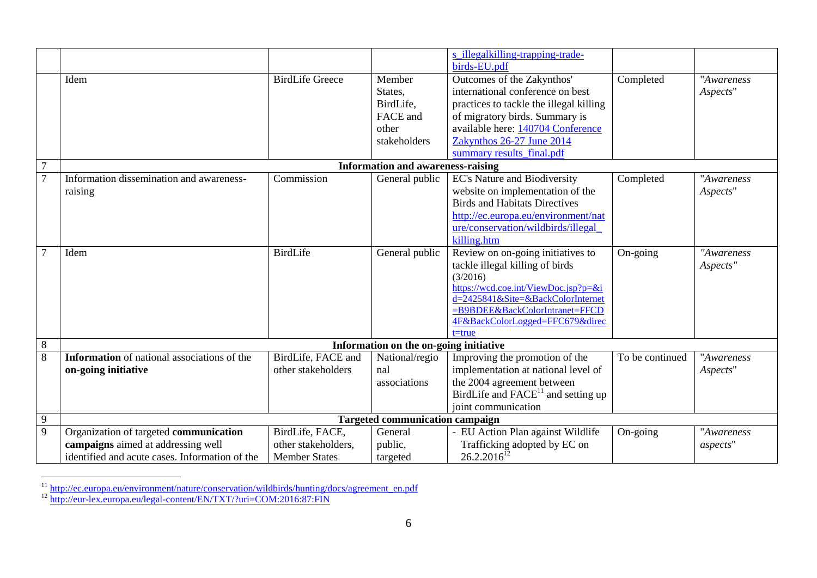|                |                                                    |                        |                                          | s_illegalkilling-trapping-trade-        |                 |            |
|----------------|----------------------------------------------------|------------------------|------------------------------------------|-----------------------------------------|-----------------|------------|
|                |                                                    |                        |                                          | birds-EU.pdf                            |                 |            |
|                |                                                    |                        |                                          |                                         |                 |            |
|                | Idem                                               | <b>BirdLife Greece</b> | Member                                   | Outcomes of the Zakynthos'              | Completed       | "Awareness |
|                |                                                    |                        | States,                                  | international conference on best        |                 | Aspects"   |
|                |                                                    |                        | BirdLife,                                | practices to tackle the illegal killing |                 |            |
|                |                                                    |                        | FACE and                                 | of migratory birds. Summary is          |                 |            |
|                |                                                    |                        | other                                    | available here: 140704 Conference       |                 |            |
|                |                                                    |                        | stakeholders                             | Zakynthos 26-27 June 2014               |                 |            |
|                |                                                    |                        |                                          | summary results final.pdf               |                 |            |
| 7              |                                                    |                        | <b>Information and awareness-raising</b> |                                         |                 |            |
| $\overline{7}$ | Information dissemination and awareness-           | Commission             | General public                           | <b>EC's Nature and Biodiversity</b>     | Completed       | "Awareness |
|                | raising                                            |                        |                                          | website on implementation of the        |                 | Aspects"   |
|                |                                                    |                        |                                          | <b>Birds and Habitats Directives</b>    |                 |            |
|                |                                                    |                        |                                          | http://ec.europa.eu/environment/nat     |                 |            |
|                |                                                    |                        |                                          | ure/conservation/wildbirds/illegal      |                 |            |
|                |                                                    |                        |                                          | killing.htm                             |                 |            |
|                | Idem                                               | <b>BirdLife</b>        | General public                           | Review on on-going initiatives to       | On-going        | "Awareness |
|                |                                                    |                        |                                          | tackle illegal killing of birds         |                 | Aspects"   |
|                |                                                    |                        |                                          | (3/2016)                                |                 |            |
|                |                                                    |                        |                                          | https://wcd.coe.int/ViewDoc.jsp?p=&i    |                 |            |
|                |                                                    |                        |                                          | d=2425841&Site=&BackColorInternet       |                 |            |
|                |                                                    |                        |                                          | =B9BDEE&BackColorIntranet=FFCD          |                 |            |
|                |                                                    |                        |                                          | 4F&BackColorLogged=FFC679&direc         |                 |            |
|                |                                                    |                        |                                          | $t = true$                              |                 |            |
| 8              |                                                    |                        | Information on the on-going initiative   |                                         |                 |            |
| 8              | <b>Information</b> of national associations of the | BirdLife, FACE and     | National/regio                           | Improving the promotion of the          | To be continued | "Awareness |
|                | on-going initiative                                | other stakeholders     | nal                                      | implementation at national level of     |                 | Aspects"   |
|                |                                                    |                        | associations                             | the 2004 agreement between              |                 |            |
|                |                                                    |                        |                                          | BirdLife and $FACE11$ and setting up    |                 |            |
|                |                                                    |                        |                                          | joint communication                     |                 |            |
| 9              |                                                    |                        | <b>Targeted communication campaign</b>   |                                         |                 |            |
| 9              | Organization of targeted communication             | BirdLife, FACE,        | General                                  | - EU Action Plan against Wildlife       | On-going        | "Awareness |
|                | campaigns aimed at addressing well                 | other stakeholders,    | public,                                  | Trafficking adopted by EC on            |                 | aspects"   |
|                | identified and acute cases. Information of the     | <b>Member States</b>   | targeted                                 | $26.2.2016^{12}$                        |                 |            |

 $\overline{a}$ <sup>11</sup> [http://ec.europa.eu/environment/nature/conservation/wildbirds/hunting/docs/agreement\\_en.pdf](http://ec.europa.eu/environment/nature/conservation/wildbirds/hunting/docs/agreement_en.pdf)

<sup>&</sup>lt;sup>12</sup> <http://eur-lex.europa.eu/legal-content/EN/TXT/?uri=COM:2016:87:FIN>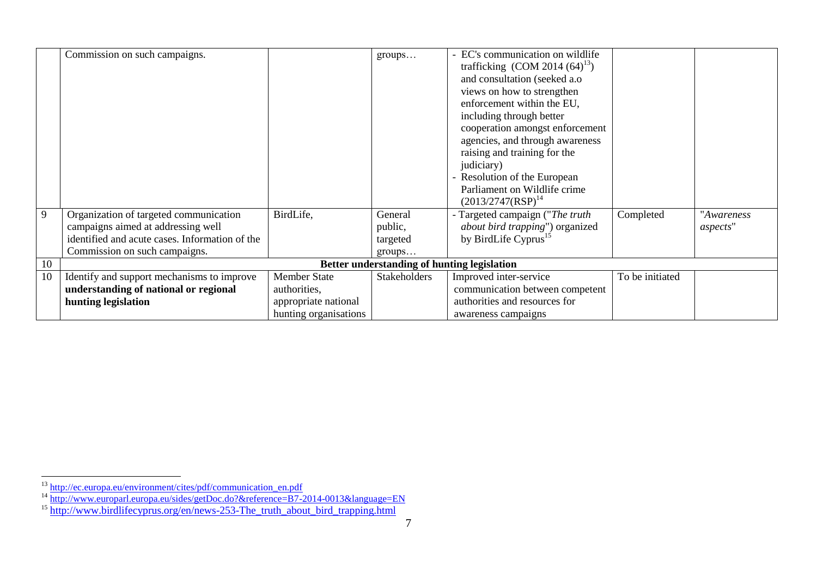|    | Commission on such campaigns.                  |                       | groups                                      | - EC's communication on wildlife   |                 |            |
|----|------------------------------------------------|-----------------------|---------------------------------------------|------------------------------------|-----------------|------------|
|    |                                                |                       |                                             | trafficking $(COM 2014 (64)^{13})$ |                 |            |
|    |                                                |                       |                                             | and consultation (seeked a.o       |                 |            |
|    |                                                |                       |                                             | views on how to strengthen         |                 |            |
|    |                                                |                       |                                             | enforcement within the EU,         |                 |            |
|    |                                                |                       |                                             | including through better           |                 |            |
|    |                                                |                       |                                             | cooperation amongst enforcement    |                 |            |
|    |                                                |                       |                                             | agencies, and through awareness    |                 |            |
|    |                                                |                       |                                             | raising and training for the       |                 |            |
|    |                                                |                       |                                             | judiciary)                         |                 |            |
|    |                                                |                       |                                             | Resolution of the European         |                 |            |
|    |                                                |                       |                                             | Parliament on Wildlife crime       |                 |            |
|    |                                                |                       |                                             | (2013/2747(RSP) <sup>14</sup>      |                 |            |
| 9  | Organization of targeted communication         | BirdLife,             | General                                     | - Targeted campaign ("The truth    | Completed       | "Awareness |
|    | campaigns aimed at addressing well             |                       | public,                                     | about bird trapping") organized    |                 | aspects"   |
|    | identified and acute cases. Information of the |                       | targeted                                    | by BirdLife Cyprus <sup>15</sup>   |                 |            |
|    | Commission on such campaigns.                  |                       | groups                                      |                                    |                 |            |
| 10 |                                                |                       | Better understanding of hunting legislation |                                    |                 |            |
| 10 | Identify and support mechanisms to improve     | <b>Member State</b>   | Stakeholders                                | Improved inter-service             | To be initiated |            |
|    | understanding of national or regional          | authorities,          |                                             | communication between competent    |                 |            |
|    | hunting legislation                            | appropriate national  |                                             | authorities and resources for      |                 |            |
|    |                                                | hunting organisations |                                             | awareness campaigns                |                 |            |

<sup>&</sup>lt;sup>13</sup> [http://ec.europa.eu/environment/cites/pdf/communication\\_en.pdf](http://ec.europa.eu/environment/cites/pdf/communication_en.pdf)

<sup>&</sup>lt;sup>14</sup> <http://www.europarl.europa.eu/sides/getDoc.do?&reference=B7-2014-0013&language=EN>

<sup>&</sup>lt;sup>15</sup> [http://www.birdlifecyprus.org/en/news-253-The\\_truth\\_about\\_bird\\_trapping.html](http://www.birdlifecyprus.org/en/news-253-The_truth_about_bird_trapping.html)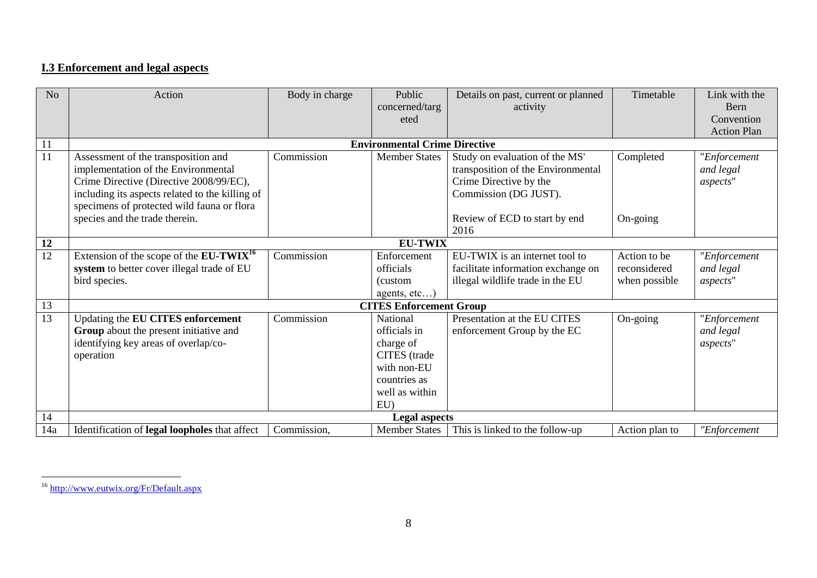# **I.3 Enforcement and legal aspects**

| No              | Action                                          | Body in charge | Public                         | Details on past, current or planned | Timetable      | Link with the      |  |  |
|-----------------|-------------------------------------------------|----------------|--------------------------------|-------------------------------------|----------------|--------------------|--|--|
|                 |                                                 |                | concerned/targ                 | activity                            |                | Bern               |  |  |
|                 |                                                 |                | eted                           |                                     |                | Convention         |  |  |
|                 |                                                 |                |                                |                                     |                | <b>Action Plan</b> |  |  |
| 11              | <b>Environmental Crime Directive</b>            |                |                                |                                     |                |                    |  |  |
| 11              | Assessment of the transposition and             | Commission     | <b>Member States</b>           | Study on evaluation of the MS'      | Completed      | "Enforcement       |  |  |
|                 | implementation of the Environmental             |                |                                | transposition of the Environmental  |                | and legal          |  |  |
|                 | Crime Directive (Directive 2008/99/EC),         |                |                                | Crime Directive by the              |                | aspects"           |  |  |
|                 | including its aspects related to the killing of |                |                                | Commission (DG JUST).               |                |                    |  |  |
|                 | specimens of protected wild fauna or flora      |                |                                |                                     |                |                    |  |  |
|                 | species and the trade therein.                  |                |                                | Review of ECD to start by end       | On-going       |                    |  |  |
|                 |                                                 |                |                                | 2016                                |                |                    |  |  |
| 12              | <b>EU-TWIX</b>                                  |                |                                |                                     |                |                    |  |  |
| $\overline{12}$ | Extension of the scope of the $EU-TWIX16$       | Commission     | Enforcement                    | EU-TWIX is an internet tool to      | Action to be   | "Enforcement       |  |  |
|                 | system to better cover illegal trade of EU      |                | officials                      | facilitate information exchange on  | reconsidered   | and legal          |  |  |
|                 | bird species.                                   |                | (custom)                       | illegal wildlife trade in the EU    | when possible  | aspects"           |  |  |
|                 |                                                 |                | agents, $etc$ )                |                                     |                |                    |  |  |
| 13              |                                                 |                | <b>CITES Enforcement Group</b> |                                     |                |                    |  |  |
| 13              | Updating the EU CITES enforcement               | Commission     | National                       | Presentation at the EU CITES        | On-going       | "Enforcement       |  |  |
|                 | Group about the present initiative and          |                | officials in                   | enforcement Group by the EC         |                | and legal          |  |  |
|                 | identifying key areas of overlap/co-            |                | charge of                      |                                     |                | aspects"           |  |  |
|                 | operation                                       |                | CITES (trade                   |                                     |                |                    |  |  |
|                 |                                                 |                | with non-EU                    |                                     |                |                    |  |  |
|                 |                                                 |                | countries as                   |                                     |                |                    |  |  |
|                 |                                                 |                | well as within                 |                                     |                |                    |  |  |
|                 |                                                 |                | EU                             |                                     |                |                    |  |  |
| 14              |                                                 |                | <b>Legal aspects</b>           |                                     |                |                    |  |  |
| 14a             | Identification of legal loopholes that affect   | Commission,    | <b>Member States</b>           | This is linked to the follow-up     | Action plan to | "Enforcement       |  |  |

 $\overline{a}$ <sup>16</sup> <http://www.eutwix.org/Fr/Default.aspx>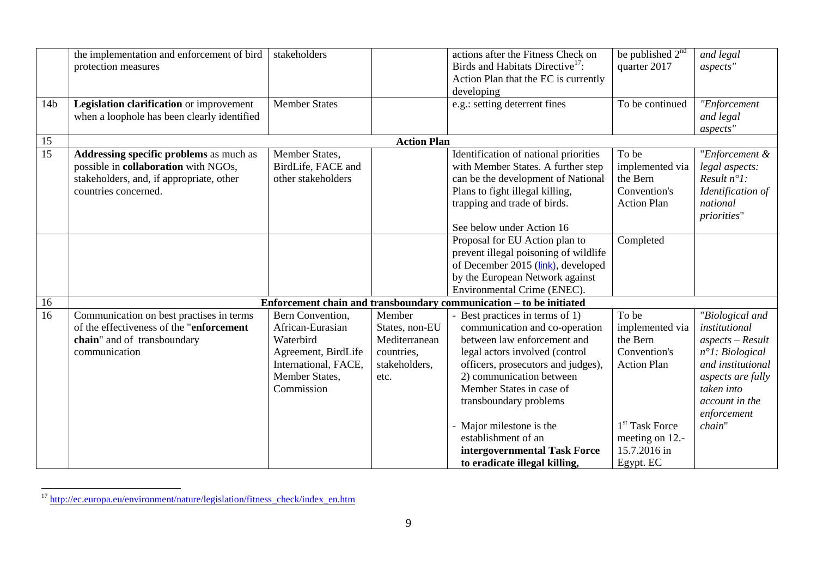|                 | the implementation and enforcement of bird<br>protection measures                                                                                          | stakeholders                                                                                                                     |                                                                                  | actions after the Fitness Check on<br>Birds and Habitats Directive <sup>17</sup> :<br>Action Plan that the EC is currently<br>developing                                                                                                                                                                                                                                       | be published $2nd$<br>quarter 2017                                                                                                                       | and legal<br>aspects"                                                                                                                                                                |
|-----------------|------------------------------------------------------------------------------------------------------------------------------------------------------------|----------------------------------------------------------------------------------------------------------------------------------|----------------------------------------------------------------------------------|--------------------------------------------------------------------------------------------------------------------------------------------------------------------------------------------------------------------------------------------------------------------------------------------------------------------------------------------------------------------------------|----------------------------------------------------------------------------------------------------------------------------------------------------------|--------------------------------------------------------------------------------------------------------------------------------------------------------------------------------------|
| 14 <sub>b</sub> | Legislation clarification or improvement<br>when a loophole has been clearly identified                                                                    | <b>Member States</b>                                                                                                             |                                                                                  | e.g.: setting deterrent fines                                                                                                                                                                                                                                                                                                                                                  | To be continued                                                                                                                                          | "Enforcement<br>and legal<br>aspects"                                                                                                                                                |
| 15              |                                                                                                                                                            |                                                                                                                                  | <b>Action Plan</b>                                                               |                                                                                                                                                                                                                                                                                                                                                                                |                                                                                                                                                          |                                                                                                                                                                                      |
| $\overline{15}$ | <b>Addressing specific problems</b> as much as<br>possible in collaboration with NGOs,<br>stakeholders, and, if appropriate, other<br>countries concerned. | Member States,<br>BirdLife, FACE and<br>other stakeholders                                                                       |                                                                                  | Identification of national priorities<br>with Member States. A further step<br>can be the development of National<br>Plans to fight illegal killing,<br>trapping and trade of birds.<br>See below under Action 16                                                                                                                                                              | To be<br>implemented via<br>the Bern<br>Convention's<br><b>Action Plan</b>                                                                               | "Enforcement &<br>legal aspects:<br>Result $n^{\circ}$ 1:<br>Identification of<br>national<br>priorities"                                                                            |
|                 |                                                                                                                                                            |                                                                                                                                  |                                                                                  | Proposal for EU Action plan to<br>prevent illegal poisoning of wildlife<br>of December 2015 (link), developed<br>by the European Network against<br>Environmental Crime (ENEC).                                                                                                                                                                                                | Completed                                                                                                                                                |                                                                                                                                                                                      |
| 16              |                                                                                                                                                            |                                                                                                                                  |                                                                                  | Enforcement chain and transboundary communication - to be initiated                                                                                                                                                                                                                                                                                                            |                                                                                                                                                          |                                                                                                                                                                                      |
| 16              | Communication on best practises in terms<br>of the effectiveness of the "enforcement"<br>chain" and of transboundary<br>communication                      | Bern Convention,<br>African-Eurasian<br>Waterbird<br>Agreement, BirdLife<br>International, FACE,<br>Member States,<br>Commission | Member<br>States, non-EU<br>Mediterranean<br>countries,<br>stakeholders,<br>etc. | - Best practices in terms of 1)<br>communication and co-operation<br>between law enforcement and<br>legal actors involved (control<br>officers, prosecutors and judges),<br>2) communication between<br>Member States in case of<br>transboundary problems<br>- Major milestone is the<br>establishment of an<br>intergovernmental Task Force<br>to eradicate illegal killing, | To be<br>implemented via<br>the Bern<br>Convention's<br><b>Action Plan</b><br>1 <sup>st</sup> Task Force<br>meeting on 12.-<br>15.7.2016 in<br>Egypt. EC | "Biological and<br>institutional<br>$aspects-Result$<br>$n^{\circ}$ 1: Biological<br>and institutional<br>aspects are fully<br>taken into<br>account in the<br>enforcement<br>chain" |

<sup>&</sup>lt;sup>17</sup> [http://ec.europa.eu/environment/nature/legislation/fitness\\_check/index\\_en.htm](http://ec.europa.eu/environment/nature/legislation/fitness_check/index_en.htm)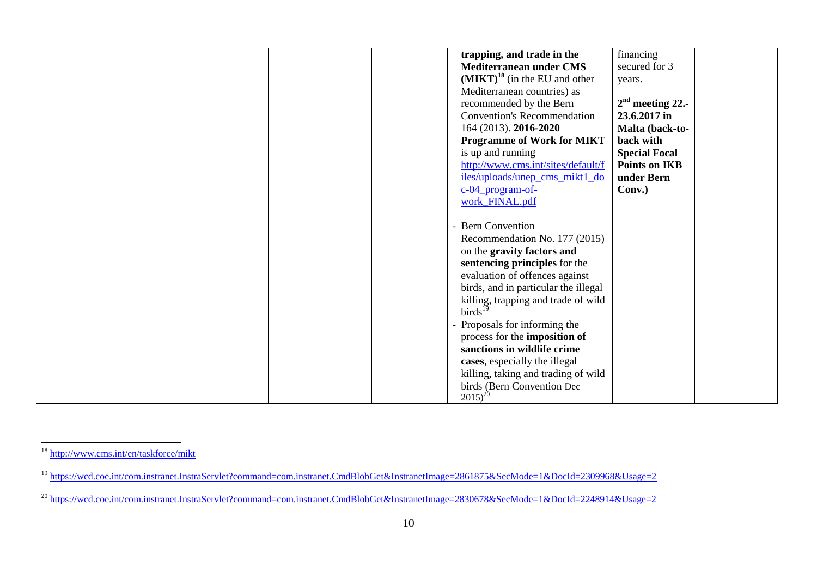|  | trapping, and trade in the<br><b>Mediterranean under CMS</b><br>$(MIKT)^{18}$ (in the EU and other<br>Mediterranean countries) as<br>recommended by the Bern<br><b>Convention's Recommendation</b><br>164 (2013). 2016-2020<br><b>Programme of Work for MIKT</b><br>is up and running                                                                                                                                                          | financing<br>secured for 3<br>years.<br>$2nd$ meeting 22.-<br>23.6.2017 in<br>Malta (back-to-<br>back with<br><b>Special Focal</b> |
|--|------------------------------------------------------------------------------------------------------------------------------------------------------------------------------------------------------------------------------------------------------------------------------------------------------------------------------------------------------------------------------------------------------------------------------------------------|------------------------------------------------------------------------------------------------------------------------------------|
|  | http://www.cms.int/sites/default/f<br>iles/uploads/unep_cms_mikt1_do<br>$c-04$ program-of-<br>work_FINAL.pdf<br><b>Bern Convention</b><br>Recommendation No. 177 (2015)<br>on the gravity factors and<br>sentencing principles for the<br>evaluation of offences against<br>birds, and in particular the illegal<br>killing, trapping and trade of wild<br>birds <sup>19</sup><br>Proposals for informing the<br>process for the imposition of | <b>Points on IKB</b><br>under Bern<br>Conv.)                                                                                       |
|  | sanctions in wildlife crime<br>cases, especially the illegal<br>killing, taking and trading of wild<br>birds (Bern Convention Dec<br>$2015)^{20}$                                                                                                                                                                                                                                                                                              |                                                                                                                                    |

<sup>&</sup>lt;sup>18</sup> <http://www.cms.int/en/taskforce/mikt>

<sup>&</sup>lt;sup>19</sup> <https://wcd.coe.int/com.instranet.InstraServlet?command=com.instranet.CmdBlobGet&InstranetImage=2861875&SecMode=1&DocId=2309968&Usage=2>

<sup>&</sup>lt;sup>20</sup> <https://wcd.coe.int/com.instranet.InstraServlet?command=com.instranet.CmdBlobGet&InstranetImage=2830678&SecMode=1&DocId=2248914&Usage=2>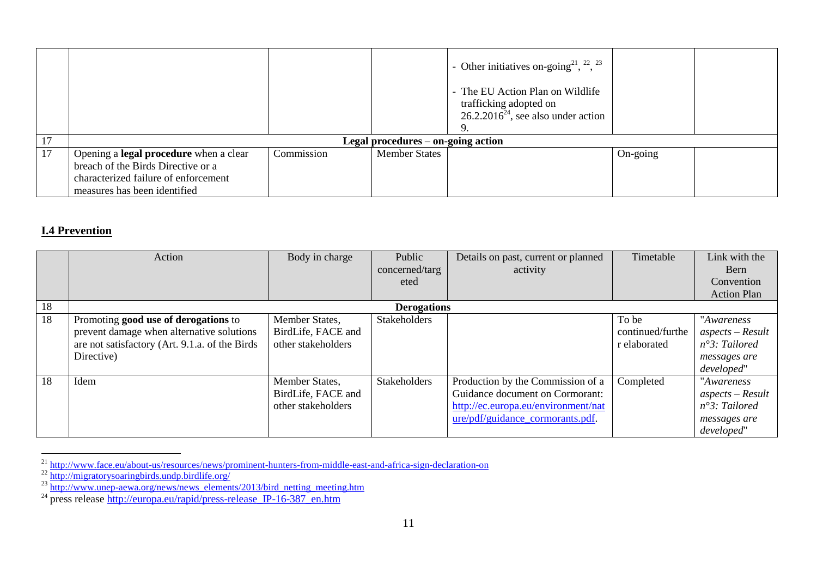|    |                                        |            |                                    | - Other initiatives on-going <sup>21</sup> , <sup>22</sup> , <sup>23</sup><br>- The EU Action Plan on Wildlife<br>trafficking adopted on<br>$26.2.2016^{24}$ , see also under action |          |  |
|----|----------------------------------------|------------|------------------------------------|--------------------------------------------------------------------------------------------------------------------------------------------------------------------------------------|----------|--|
|    |                                        |            | Legal procedures – on-going action |                                                                                                                                                                                      |          |  |
| 17 | Opening a legal procedure when a clear | Commission | <b>Member States</b>               |                                                                                                                                                                                      | On-going |  |
|    | breach of the Birds Directive or a     |            |                                    |                                                                                                                                                                                      |          |  |
|    | characterized failure of enforcement   |            |                                    |                                                                                                                                                                                      |          |  |
|    | measures has been identified           |            |                                    |                                                                                                                                                                                      |          |  |

# **I.4 Prevention**

|    | Action                                                                                                                                             | Body in charge                                             | Public<br>concerned/targ<br>eted | Details on past, current or planned<br>activity                                                                                                 | Timetable                                 | Link with the<br>Bern<br>Convention<br><b>Action Plan</b>                                  |
|----|----------------------------------------------------------------------------------------------------------------------------------------------------|------------------------------------------------------------|----------------------------------|-------------------------------------------------------------------------------------------------------------------------------------------------|-------------------------------------------|--------------------------------------------------------------------------------------------|
| 18 |                                                                                                                                                    |                                                            | <b>Derogations</b>               |                                                                                                                                                 |                                           |                                                                                            |
| 18 | Promoting good use of derogations to<br>prevent damage when alternative solutions<br>are not satisfactory (Art. 9.1.a. of the Birds)<br>Directive) | Member States,<br>BirdLife, FACE and<br>other stakeholders | <b>Stakeholders</b>              |                                                                                                                                                 | To be<br>continued/furthe<br>r elaborated | "Awareness"<br>$aspects - Result$<br>$n^{\circ}3$ : Tailored<br>messages are<br>developed" |
| 18 | Idem                                                                                                                                               | Member States,<br>BirdLife, FACE and<br>other stakeholders | <b>Stakeholders</b>              | Production by the Commission of a<br>Guidance document on Cormorant:<br>http://ec.europa.eu/environment/nat<br>ure/pdf/guidance_cormorants.pdf. | Completed                                 | "Awareness<br>$aspects-Result$<br>$n^{\circ}3$ : Tailored<br>messages are<br>developed"    |

<sup>&</sup>lt;sup>21</sup> <http://www.face.eu/about-us/resources/news/prominent-hunters-from-middle-east-and-africa-sign-declaration-on>

<sup>&</sup>lt;sup>22</sup> <http://migratorysoaringbirds.undp.birdlife.org/>

<sup>&</sup>lt;sup>23</sup> [http://www.unep-aewa.org/news/news\\_elements/2013/bird\\_netting\\_meeting.htm](http://www.unep-aewa.org/news/news_elements/2013/bird_netting_meeting.htm)

<sup>&</sup>lt;sup>24</sup> press release [http://europa.eu/rapid/press-release\\_IP-16-387\\_en.htm](http://europa.eu/rapid/press-release_IP-16-387_en.htm)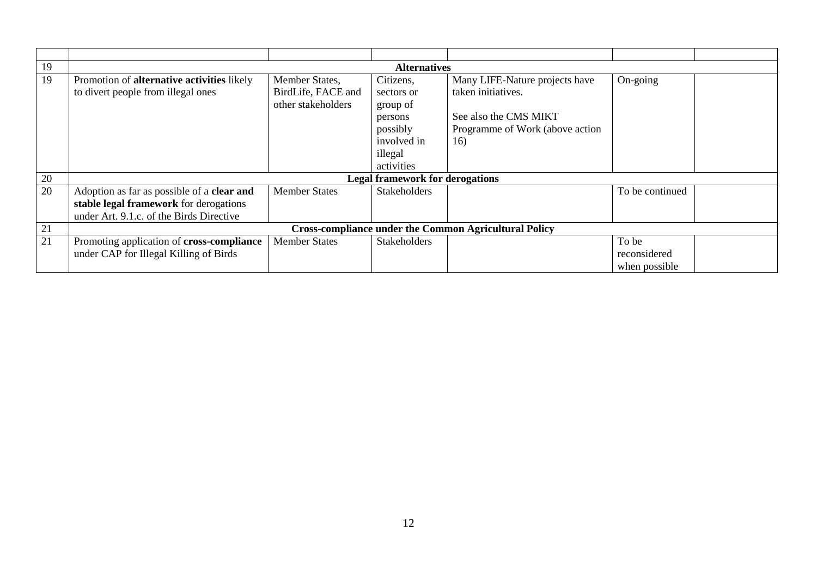| 19 | <b>Alternatives</b>                                                                                                                     |                                                            |                                                                                                    |                                                                                                                         |                                        |
|----|-----------------------------------------------------------------------------------------------------------------------------------------|------------------------------------------------------------|----------------------------------------------------------------------------------------------------|-------------------------------------------------------------------------------------------------------------------------|----------------------------------------|
| 19 | Promotion of alternative activities likely<br>to divert people from illegal ones                                                        | Member States,<br>BirdLife, FACE and<br>other stakeholders | Citizens,<br>sectors or<br>group of<br>persons<br>possibly<br>involved in<br>illegal<br>activities | Many LIFE-Nature projects have<br>taken initiatives.<br>See also the CMS MIKT<br>Programme of Work (above action<br>16) | On-going                               |
| 20 | <b>Legal framework for derogations</b>                                                                                                  |                                                            |                                                                                                    |                                                                                                                         |                                        |
| 20 | Adoption as far as possible of a <b>clear and</b><br>stable legal framework for derogations<br>under Art. 9.1.c. of the Birds Directive | <b>Member States</b>                                       | <b>Stakeholders</b>                                                                                |                                                                                                                         | To be continued                        |
| 21 | <b>Cross-compliance under the Common Agricultural Policy</b>                                                                            |                                                            |                                                                                                    |                                                                                                                         |                                        |
| 21 | Promoting application of cross-compliance<br>under CAP for Illegal Killing of Birds                                                     | <b>Member States</b>                                       | <b>Stakeholders</b>                                                                                |                                                                                                                         | To be<br>reconsidered<br>when possible |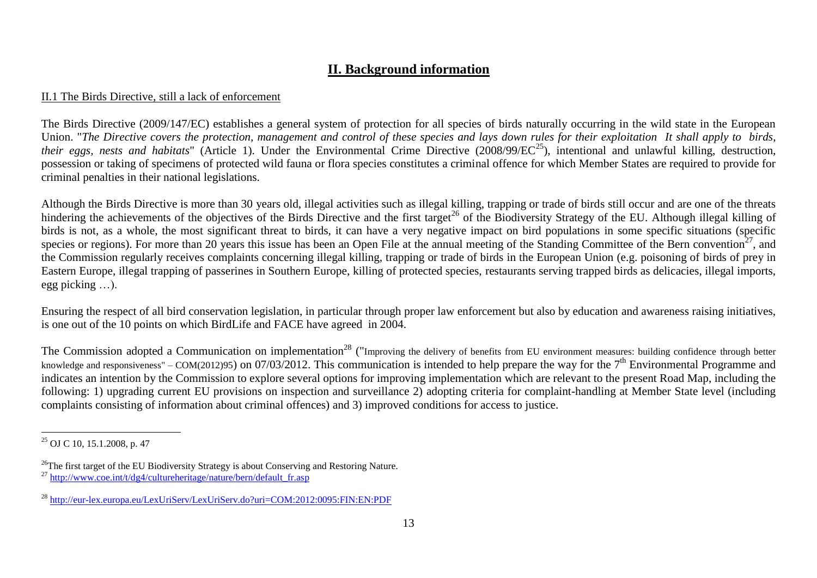# **II. Background information**

#### II.1 The Birds Directive, still a lack of enforcement

The Birds Directive (2009/147/EC) establishes a general system of protection for all species of birds naturally occurring in the wild state in the European Union. "*The Directive covers the protection, management and control of these species and lays down rules for their exploitation It shall apply to birds, their eggs, nests and habitats*" (Article 1). Under the Environmental Crime Directive (2008/99/EC<sup>25</sup>), intentional and unlawful killing, destruction, possession or taking of specimens of protected wild fauna or flora species constitutes a criminal offence for which Member States are required to provide for criminal penalties in their national legislations.

Although the Birds Directive is more than 30 years old, illegal activities such as illegal killing, trapping or trade of birds still occur and are one of the threats hindering the achievements of the objectives of the Birds Directive and the first target<sup>26</sup> of the Biodiversity Strategy of the EU. Although illegal killing of birds is not, as a whole, the most significant threat to birds, it can have a very negative impact on bird populations in some specific situations (specific species or regions). For more than 20 years this issue has been an Open File at the annual meeting of the Standing Committee of the Bern convention<sup>27</sup>, and the Commission regularly receives complaints concerning illegal killing, trapping or trade of birds in the European Union (e.g. poisoning of birds of prey in Eastern Europe, illegal trapping of passerines in Southern Europe, killing of protected species, restaurants serving trapped birds as delicacies, illegal imports, egg picking …).

Ensuring the respect of all bird conservation legislation, in particular through proper law enforcement but also by education and awareness raising initiatives, is one out of the 10 points on which BirdLife and FACE have agreed in 2004.

The Commission adopted a Communication on implementation<sup>28</sup> ("Improving the delivery of benefits from EU environment measures: building confidence through better knowledge and responsiveness" – COM(2012)95) on 07/03/2012. This communication is intended to help prepare the way for the 7<sup>th</sup> Environmental Programme and indicates an intention by the Commission to explore several options for improving implementation which are relevant to the present Road Map, including the following: 1) upgrading current EU provisions on inspection and surveillance 2) adopting criteria for complaint-handling at Member State level (including complaints consisting of information about criminal offences) and 3) improved conditions for access to justice.

 $\overline{a}$  $^{25}$  OJ C 10, 15.1.2008, p. 47

<sup>&</sup>lt;sup>26</sup>The first target of the EU Biodiversity Strategy is about Conserving and Restoring Nature.

<sup>&</sup>lt;sup>27</sup> [http://www.coe.int/t/dg4/cultureheritage/nature/bern/default\\_fr.asp](http://www.coe.int/t/dg4/cultureheritage/nature/bern/default_fr.asp)

<sup>&</sup>lt;sup>28</sup> <http://eur-lex.europa.eu/LexUriServ/LexUriServ.do?uri=COM:2012:0095:FIN:EN:PDF>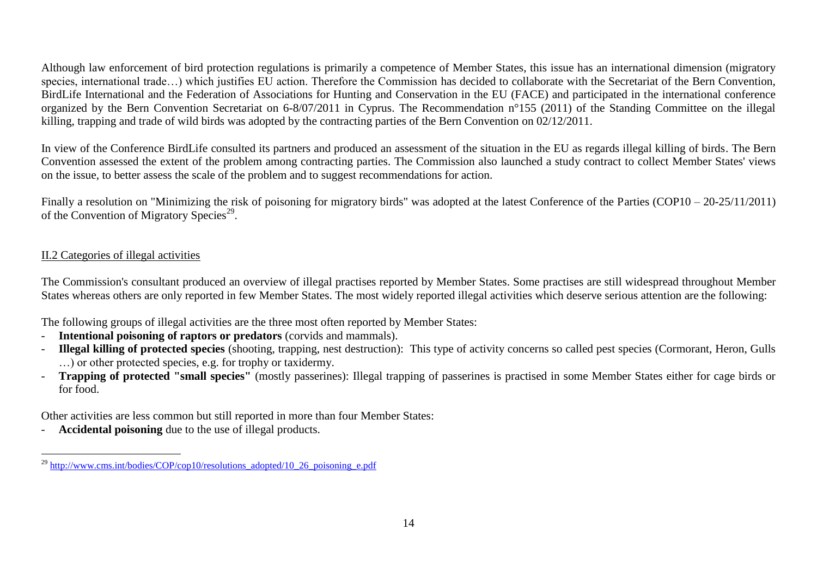Although law enforcement of bird protection regulations is primarily a competence of Member States, this issue has an international dimension (migratory species, international trade…) which justifies EU action. Therefore the Commission has decided to collaborate with the Secretariat of the Bern Convention, BirdLife International and the Federation of Associations for Hunting and Conservation in the EU (FACE) and participated in the international conference organized by the Bern Convention Secretariat on 6-8/07/2011 in Cyprus. The Recommendation n°155 (2011) of the Standing Committee on the illegal killing, trapping and trade of wild birds was adopted by the contracting parties of the Bern Convention on 02/12/2011.

In view of the Conference BirdLife consulted its partners and produced an assessment of the situation in the EU as regards illegal killing of birds. The Bern Convention assessed the extent of the problem among contracting parties. The Commission also launched a study contract to collect Member States' views on the issue, to better assess the scale of the problem and to suggest recommendations for action.

Finally a resolution on "Minimizing the risk of poisoning for migratory birds" was adopted at the latest Conference of the Parties (COP10 – 20-25/11/2011) of the Convention of Migratory Species<sup>29</sup>.

#### II.2 Categories of illegal activities

The Commission's consultant produced an overview of illegal practises reported by Member States. Some practises are still widespread throughout Member States whereas others are only reported in few Member States. The most widely reported illegal activities which deserve serious attention are the following:

The following groups of illegal activities are the three most often reported by Member States:

- **Intentional poisoning of raptors or predators** (corvids and mammals).
- **Illegal killing of protected species** (shooting, trapping, nest destruction): This type of activity concerns so called pest species (Cormorant, Heron, Gulls …) or other protected species, e.g. for trophy or taxidermy.
- **Trapping of protected "small species"** (mostly passerines): Illegal trapping of passerines is practised in some Member States either for cage birds or for food.

Other activities are less common but still reported in more than four Member States:

- **Accidental poisoning** due to the use of illegal products.

 $\overline{a}$ <sup>29</sup> [http://www.cms.int/bodies/COP/cop10/resolutions\\_adopted/10\\_26\\_poisoning\\_e.pdf](http://www.cms.int/bodies/COP/cop10/resolutions_adopted/10_26_poisoning_e.pdf)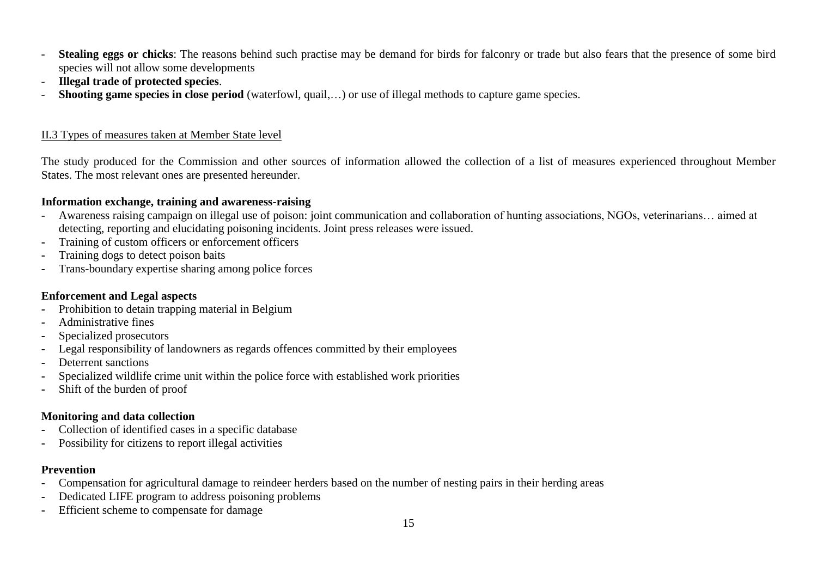- **Stealing eggs or chicks**: The reasons behind such practise may be demand for birds for falconry or trade but also fears that the presence of some bird species will not allow some developments
- **Illegal trade of protected species**.
- **Shooting game species in close period** (waterfowl, quail,...) or use of illegal methods to capture game species.

### II.3 Types of measures taken at Member State level

The study produced for the Commission and other sources of information allowed the collection of a list of measures experienced throughout Member States. The most relevant ones are presented hereunder.

#### **Information exchange, training and awareness-raising**

- Awareness raising campaign on illegal use of poison: joint communication and collaboration of hunting associations, NGOs, veterinarians… aimed at detecting, reporting and elucidating poisoning incidents. Joint press releases were issued.
- **-** Training of custom officers or enforcement officers
- **-** Training dogs to detect poison baits
- **-** Trans-boundary expertise sharing among police forces

# **Enforcement and Legal aspects**

- **-** Prohibition to detain trapping material in Belgium
- **-** Administrative fines
- **-** Specialized prosecutors
- **-** Legal responsibility of landowners as regards offences committed by their employees
- **-** Deterrent sanctions
- **-** Specialized wildlife crime unit within the police force with established work priorities
- **-** Shift of the burden of proof

### **Monitoring and data collection**

- **-** Collection of identified cases in a specific database
- **-** Possibility for citizens to report illegal activities

### **Prevention**

- **-** Compensation for agricultural damage to reindeer herders based on the number of nesting pairs in their herding areas
- **-** Dedicated LIFE program to address poisoning problems
- **-** Efficient scheme to compensate for damage